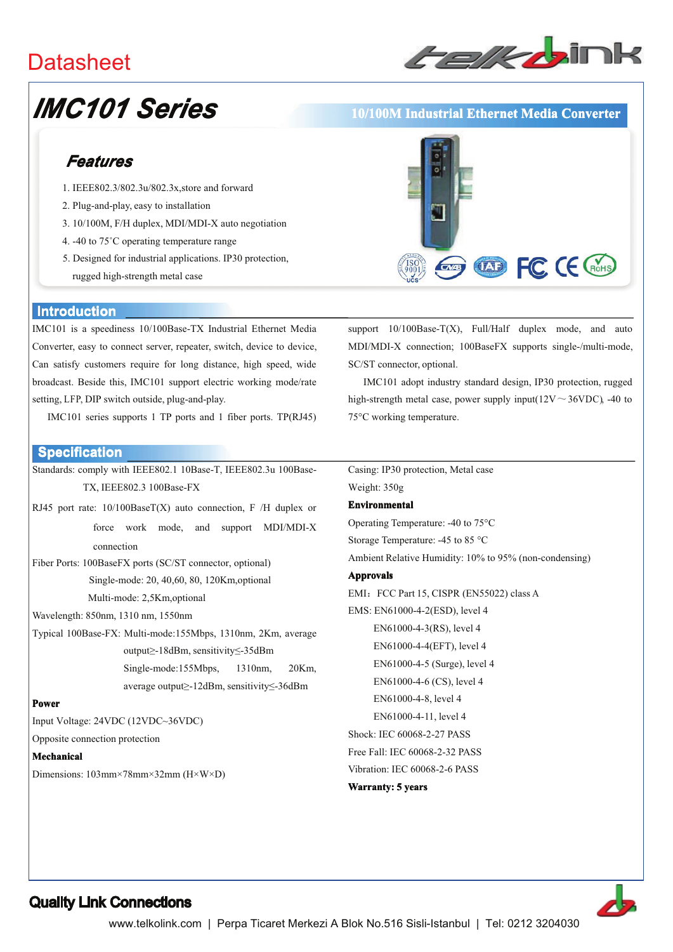## **Datasheet**



# **IMC101 Series**

## Features

- 1. IEEE802.3/802.3u/802.3x.store and forward
- 2. Plug-and-play, easy to installation
- 3. 10/100M, F/H duplex, MDI/MDI-X auto negotiation
- 4. -40 to 75°C operating temperature range
- 5. Designed for industrial applications. IP30 protection, rugged high-strength metal case

#### **Introduction**

IMC101 is a speediness 10/100Base-TX Industrial Ethernet Media Converter, easy to connect server, repeater, switch, device to device, Can satisfy customers require for long distance, high speed, wide broadcast. Beside this, IMC101 support electric working mode/rate setting, LFP, DIP switch outside, plug-and-play.

IMC101 series supports 1 TP ports and 1 fiber ports. TP(RJ45)

#### **Specification**

Standards: comply with IEEE802.1 10Base-T, IEEE802.3u 100Base-TX, IEEE802.3 100Base-FX

RJ45 port rate:  $10/100$ BaseT(X) auto connection, F /H duplex or force work mode, and support MDI/MDI-X connection

Fiber Ports: 100BaseFX ports (SC/ST connector, optional) Single-mode: 20, 40,60, 80, 120Km, optional Multi-mode: 2,5Km,optional

Wavelength: 850nm, 1310 nm, 1550nm

Typical 100Base-FX: Multi-mode:155Mbps, 1310nm, 2Km, average output>-18dBm, sensitivity<-35dBm Single-mode:155Mbps, 1310nm, 20Km, average output≥-12dBm, sensitivity≤-36dBm

#### **Power**

Input Voltage: 24VDC (12VDC~36VDC)

Opposite connection protection

#### Mechanical

Dimensions:  $103 \text{mm} \times 78 \text{mm} \times 32 \text{mm}$  ( $H \times W \times D$ )



10/100M Industrial Ethernet Media Converter

support  $10/100$ Base-T(X), Full/Half duplex mode, and auto MDI/MDI-X connection; 100BaseFX supports single-/multi-mode, SC/ST connector, optional.

IMC101 adopt industry standard design, IP30 protection, rugged high-strength metal case, power supply input( $12V \sim 36VDC$ ), -40 to 75°C working temperature.

Casing: IP30 protection, Metal case Weight: 350g

#### **Environmental**

Operating Temperature: -40 to 75°C Storage Temperature: -45 to 85 °C

Ambient Relative Humidity: 10% to 95% (non-condensing)

#### **Approvals**

EMI: FCC Part 15, CISPR (EN55022) class A EMS: EN61000-4-2(ESD), level 4 EN61000-4-3(RS), level 4 EN61000-4-4(EFT), level 4 EN61000-4-5 (Surge), level 4 EN61000-4-6 (CS), level 4 EN61000-4-8, level 4 EN61000-4-11, level 4 Shock: IEC 60068-2-27 PASS Free Fall: IEC 60068-2-32 PASS Vibration: IEC 60068-2-6 PASS **Warranty: 5 years**